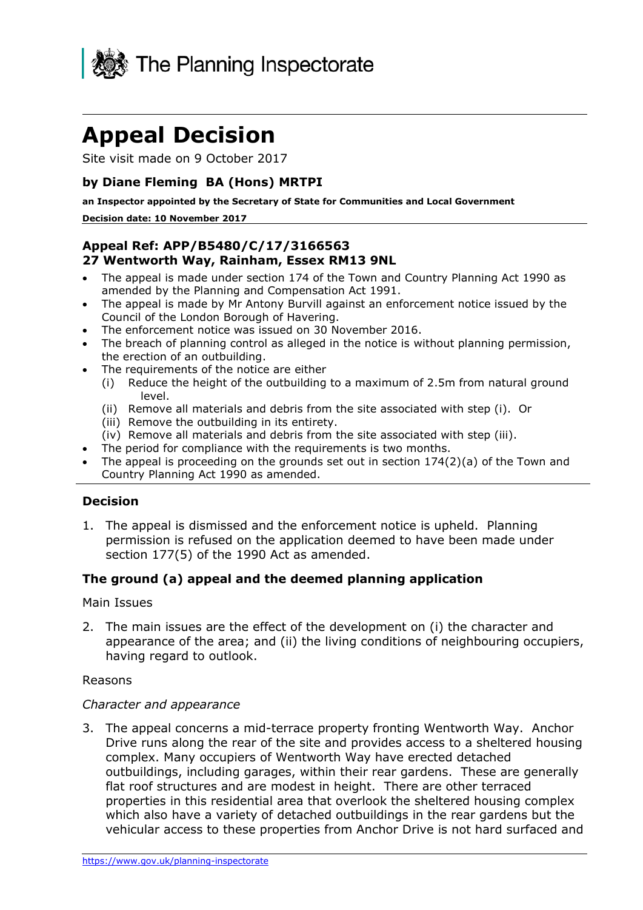

# **Appeal Decision**

Site visit made on 9 October 2017

## **by Diane Fleming BA (Hons) MRTPI**

**an Inspector appointed by the Secretary of State for Communities and Local Government**

#### **Decision date: 10 November 2017**

## **Appeal Ref: APP/B5480/C/17/3166563 27 Wentworth Way, Rainham, Essex RM13 9NL**

- The appeal is made under section 174 of the Town and Country Planning Act 1990 as amended by the Planning and Compensation Act 1991.
- The appeal is made by Mr Antony Burvill against an enforcement notice issued by the Council of the London Borough of Havering.
- The enforcement notice was issued on 30 November 2016.
- The breach of planning control as alleged in the notice is without planning permission, the erection of an outbuilding.
- The requirements of the notice are either
	- (i) Reduce the height of the outbuilding to a maximum of 2.5m from natural ground level.
	- (ii) Remove all materials and debris from the site associated with step (i). Or
	- (iii) Remove the outbuilding in its entirety.
	- (iv) Remove all materials and debris from the site associated with step (iii).
- The period for compliance with the requirements is two months.
- The appeal is proceeding on the grounds set out in section 174(2)(a) of the Town and Country Planning Act 1990 as amended.

## **Decision**

1. The appeal is dismissed and the enforcement notice is upheld. Planning permission is refused on the application deemed to have been made under section 177(5) of the 1990 Act as amended.

## **The ground (a) appeal and the deemed planning application**

#### Main Issues

2. The main issues are the effect of the development on (i) the character and appearance of the area; and (ii) the living conditions of neighbouring occupiers, having regard to outlook.

#### Reasons

#### *Character and appearance*

3. The appeal concerns a mid-terrace property fronting Wentworth Way. Anchor Drive runs along the rear of the site and provides access to a sheltered housing complex. Many occupiers of Wentworth Way have erected detached outbuildings, including garages, within their rear gardens. These are generally flat roof structures and are modest in height. There are other terraced properties in this residential area that overlook the sheltered housing complex which also have a variety of detached outbuildings in the rear gardens but the vehicular access to these properties from Anchor Drive is not hard surfaced and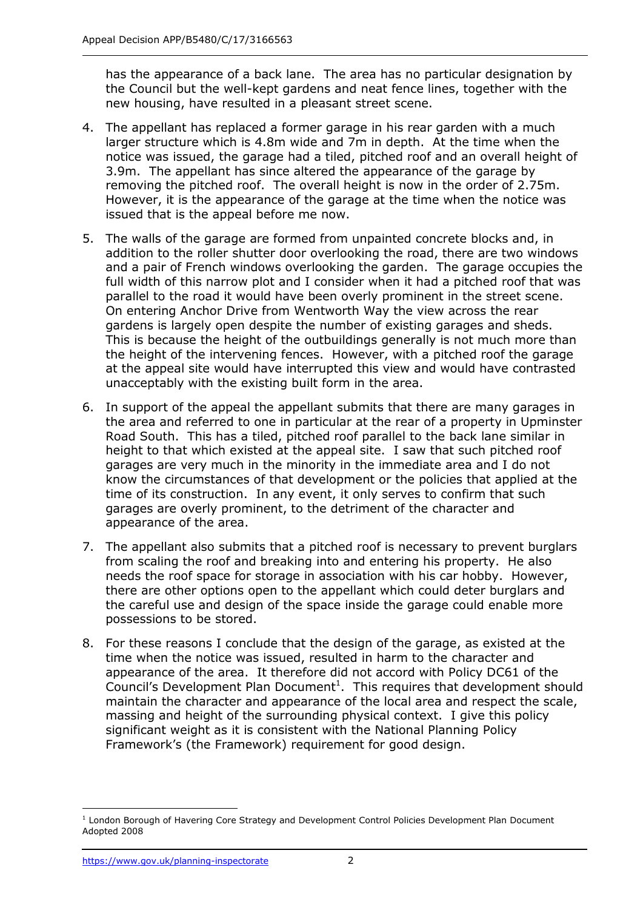has the appearance of a back lane. The area has no particular designation by the Council but the well-kept gardens and neat fence lines, together with the new housing, have resulted in a pleasant street scene.

- 4. The appellant has replaced a former garage in his rear garden with a much larger structure which is 4.8m wide and 7m in depth. At the time when the notice was issued, the garage had a tiled, pitched roof and an overall height of 3.9m. The appellant has since altered the appearance of the garage by removing the pitched roof. The overall height is now in the order of 2.75m. However, it is the appearance of the garage at the time when the notice was issued that is the appeal before me now.
- 5. The walls of the garage are formed from unpainted concrete blocks and, in addition to the roller shutter door overlooking the road, there are two windows and a pair of French windows overlooking the garden. The garage occupies the full width of this narrow plot and I consider when it had a pitched roof that was parallel to the road it would have been overly prominent in the street scene. On entering Anchor Drive from Wentworth Way the view across the rear gardens is largely open despite the number of existing garages and sheds. This is because the height of the outbuildings generally is not much more than the height of the intervening fences. However, with a pitched roof the garage at the appeal site would have interrupted this view and would have contrasted unacceptably with the existing built form in the area.
- 6. In support of the appeal the appellant submits that there are many garages in the area and referred to one in particular at the rear of a property in Upminster Road South. This has a tiled, pitched roof parallel to the back lane similar in height to that which existed at the appeal site. I saw that such pitched roof garages are very much in the minority in the immediate area and I do not know the circumstances of that development or the policies that applied at the time of its construction. In any event, it only serves to confirm that such garages are overly prominent, to the detriment of the character and appearance of the area.
- 7. The appellant also submits that a pitched roof is necessary to prevent burglars from scaling the roof and breaking into and entering his property. He also needs the roof space for storage in association with his car hobby. However, there are other options open to the appellant which could deter burglars and the careful use and design of the space inside the garage could enable more possessions to be stored.
- 8. For these reasons I conclude that the design of the garage, as existed at the time when the notice was issued, resulted in harm to the character and appearance of the area. It therefore did not accord with Policy DC61 of the Council's Development Plan Document<sup>1</sup>. This requires that development should maintain the character and appearance of the local area and respect the scale, massing and height of the surrounding physical context. I give this policy significant weight as it is consistent with the National Planning Policy Framework's (the Framework) requirement for good design.

j

<sup>&</sup>lt;sup>1</sup> London Borough of Havering Core Strategy and Development Control Policies Development Plan Document Adopted 2008